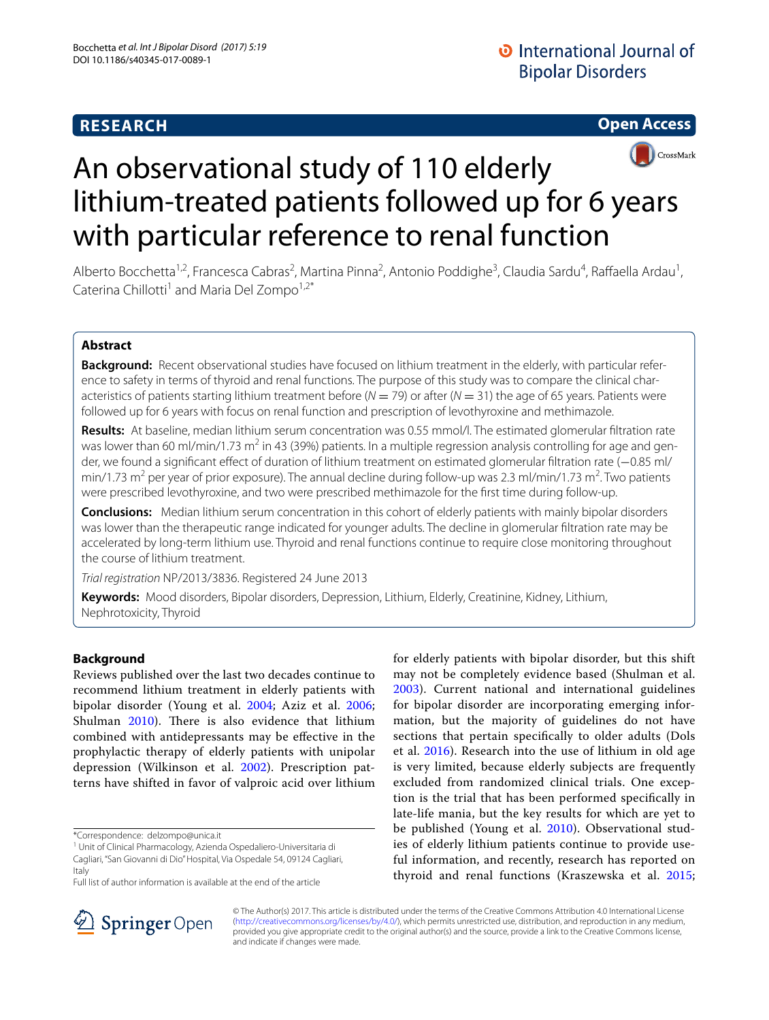# **RESEARCH**

**Open Access**



# An observational study of 110 elderly lithium-treated patients followed up for 6 years with particular reference to renal function

Alberto Bocchetta<sup>1,2</sup>, Francesca Cabras<sup>2</sup>, Martina Pinna<sup>2</sup>, Antonio Poddighe<sup>3</sup>, Claudia Sardu<sup>4</sup>, Raffaella Ardau<sup>1</sup>, Caterina Chillotti<sup>1</sup> and Maria Del Zompo<sup>1,2\*</sup>

# **Abstract**

**Background:** Recent observational studies have focused on lithium treatment in the elderly, with particular reference to safety in terms of thyroid and renal functions. The purpose of this study was to compare the clinical characteristics of patients starting lithium treatment before  $(N = 79)$  or after  $(N = 31)$  the age of 65 years. Patients were followed up for 6 years with focus on renal function and prescription of levothyroxine and methimazole.

**Results:** At baseline, median lithium serum concentration was 0.55 mmol/l. The estimated glomerular fltration rate was lower than 60 ml/min/1.73 m<sup>2</sup> in 43 (39%) patients. In a multiple regression analysis controlling for age and gender, we found a signifcant efect of duration of lithium treatment on estimated glomerular fltration rate (−0.85 ml/ min/1.73 m<sup>2</sup> per year of prior exposure). The annual decline during follow-up was 2.3 ml/min/1.73 m<sup>2</sup>. Two patients were prescribed levothyroxine, and two were prescribed methimazole for the frst time during follow-up.

**Conclusions:** Median lithium serum concentration in this cohort of elderly patients with mainly bipolar disorders was lower than the therapeutic range indicated for younger adults. The decline in glomerular fltration rate may be accelerated by long-term lithium use. Thyroid and renal functions continue to require close monitoring throughout the course of lithium treatment.

*Trial registration* NP/2013/3836. Registered 24 June 2013

**Keywords:** Mood disorders, Bipolar disorders, Depression, Lithium, Elderly, Creatinine, Kidney, Lithium, Nephrotoxicity, Thyroid

# **Background**

Reviews published over the last two decades continue to recommend lithium treatment in elderly patients with bipolar disorder (Young et al. [2004](#page-6-0); Aziz et al. [2006](#page-6-1); Shulman  $2010$ ). There is also evidence that lithium combined with antidepressants may be efective in the prophylactic therapy of elderly patients with unipolar depression (Wilkinson et al. [2002\)](#page-6-3). Prescription patterns have shifted in favor of valproic acid over lithium

Full list of author information is available at the end of the article





© The Author(s) 2017. This article is distributed under the terms of the Creative Commons Attribution 4.0 International License [\(http://creativecommons.org/licenses/by/4.0/\)](http://creativecommons.org/licenses/by/4.0/), which permits unrestricted use, distribution, and reproduction in any medium, provided you give appropriate credit to the original author(s) and the source, provide a link to the Creative Commons license, and indicate if changes were made.

<sup>\*</sup>Correspondence: delzompo@unica.it

<sup>&</sup>lt;sup>1</sup> Unit of Clinical Pharmacology, Azienda Ospedaliero-Universitaria di Cagliari, "San Giovanni di Dio" Hospital, Via Ospedale 54, 09124 Cagliari, Italy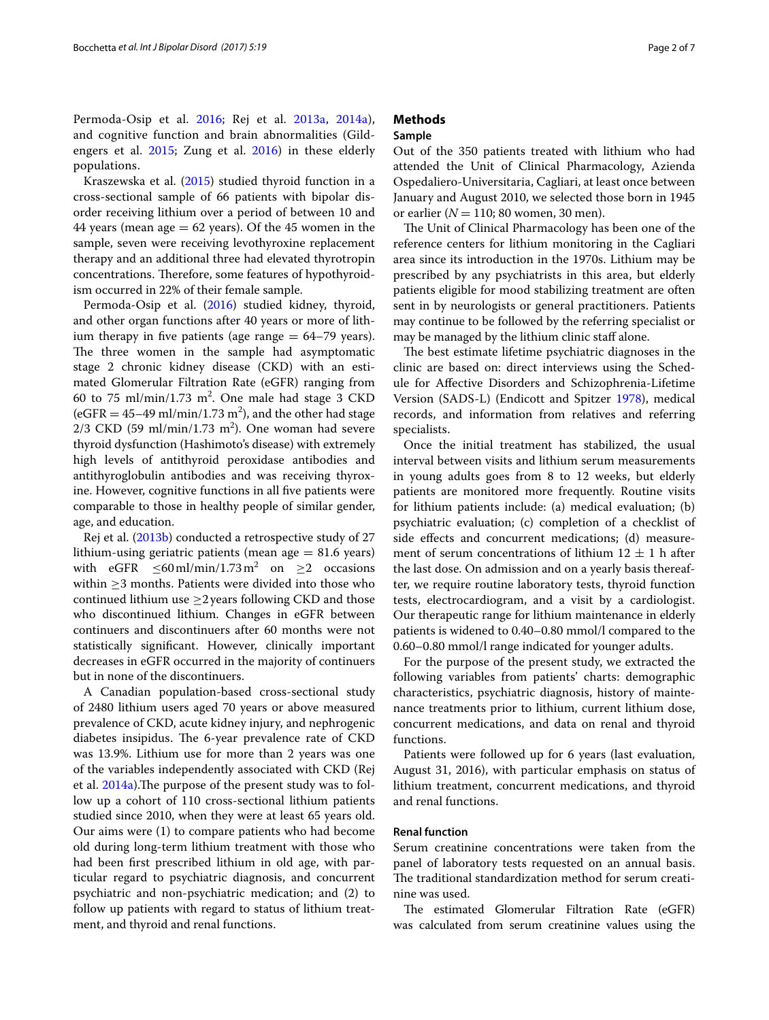Permoda-Osip et al. [2016](#page-6-8); Rej et al. [2013a](#page-6-9), [2014a](#page-6-10)), and cognitive function and brain abnormalities (Gildengers et al. [2015](#page-6-11); Zung et al. [2016](#page-6-12)) in these elderly populations.

Kraszewska et al. [\(2015\)](#page-6-7) studied thyroid function in a cross-sectional sample of 66 patients with bipolar disorder receiving lithium over a period of between 10 and 44 years (mean age  $= 62$  years). Of the 45 women in the sample, seven were receiving levothyroxine replacement therapy and an additional three had elevated thyrotropin concentrations. Therefore, some features of hypothyroidism occurred in 22% of their female sample.

Permoda-Osip et al. ([2016](#page-6-8)) studied kidney, thyroid, and other organ functions after 40 years or more of lithium therapy in five patients (age range  $= 64-79$  years). The three women in the sample had asymptomatic stage 2 chronic kidney disease (CKD) with an estimated Glomerular Filtration Rate (eGFR) ranging from 60 to 75 ml/min/1.73 m<sup>2</sup>. One male had stage 3 CKD (eGFR =  $45-49$  ml/min/1.73 m<sup>2</sup>), and the other had stage  $2/3$  CKD (59 ml/min/1.73 m<sup>2</sup>). One woman had severe thyroid dysfunction (Hashimoto's disease) with extremely high levels of antithyroid peroxidase antibodies and antithyroglobulin antibodies and was receiving thyroxine. However, cognitive functions in all five patients were comparable to those in healthy people of similar gender, age, and education.

Rej et al. ([2013b\)](#page-6-13) conducted a retrospective study of 27 lithium-using geriatric patients (mean age  $= 81.6$  years) with  $\text{eGFR} \leq 60 \,\text{ml/min}/1.73 \,\text{m}^2$  on  $\geq 2$  occasions within ≥3 months. Patients were divided into those who continued lithium use  $\geq$ 2 years following CKD and those who discontinued lithium. Changes in eGFR between continuers and discontinuers after 60 months were not statistically signifcant. However, clinically important decreases in eGFR occurred in the majority of continuers but in none of the discontinuers.

A Canadian population-based cross-sectional study of 2480 lithium users aged 70 years or above measured prevalence of CKD, acute kidney injury, and nephrogenic diabetes insipidus. The 6-year prevalence rate of CKD was 13.9%. Lithium use for more than 2 years was one of the variables independently associated with CKD (Rej et al. [2014a](#page-6-10)). The purpose of the present study was to follow up a cohort of 110 cross-sectional lithium patients studied since 2010, when they were at least 65 years old. Our aims were (1) to compare patients who had become old during long-term lithium treatment with those who had been frst prescribed lithium in old age, with particular regard to psychiatric diagnosis, and concurrent psychiatric and non-psychiatric medication; and (2) to follow up patients with regard to status of lithium treatment, and thyroid and renal functions.

# **Methods**

# **Sample**

Out of the 350 patients treated with lithium who had attended the Unit of Clinical Pharmacology, Azienda Ospedaliero-Universitaria, Cagliari, at least once between January and August 2010, we selected those born in 1945 or earlier ( $N = 110$ ; 80 women, 30 men).

The Unit of Clinical Pharmacology has been one of the reference centers for lithium monitoring in the Cagliari area since its introduction in the 1970s. Lithium may be prescribed by any psychiatrists in this area, but elderly patients eligible for mood stabilizing treatment are often sent in by neurologists or general practitioners. Patients may continue to be followed by the referring specialist or may be managed by the lithium clinic staff alone.

The best estimate lifetime psychiatric diagnoses in the clinic are based on: direct interviews using the Schedule for Afective Disorders and Schizophrenia-Lifetime Version (SADS-L) (Endicott and Spitzer [1978](#page-6-14)), medical records, and information from relatives and referring specialists.

Once the initial treatment has stabilized, the usual interval between visits and lithium serum measurements in young adults goes from 8 to 12 weeks, but elderly patients are monitored more frequently. Routine visits for lithium patients include: (a) medical evaluation; (b) psychiatric evaluation; (c) completion of a checklist of side efects and concurrent medications; (d) measurement of serum concentrations of lithium  $12 \pm 1$  h after the last dose. On admission and on a yearly basis thereafter, we require routine laboratory tests, thyroid function tests, electrocardiogram, and a visit by a cardiologist. Our therapeutic range for lithium maintenance in elderly patients is widened to 0.40–0.80 mmol/l compared to the 0.60–0.80 mmol/l range indicated for younger adults.

For the purpose of the present study, we extracted the following variables from patients' charts: demographic characteristics, psychiatric diagnosis, history of maintenance treatments prior to lithium, current lithium dose, concurrent medications, and data on renal and thyroid functions.

Patients were followed up for 6 years (last evaluation, August 31, 2016), with particular emphasis on status of lithium treatment, concurrent medications, and thyroid and renal functions.

## **Renal function**

Serum creatinine concentrations were taken from the panel of laboratory tests requested on an annual basis. The traditional standardization method for serum creatinine was used.

The estimated Glomerular Filtration Rate (eGFR) was calculated from serum creatinine values using the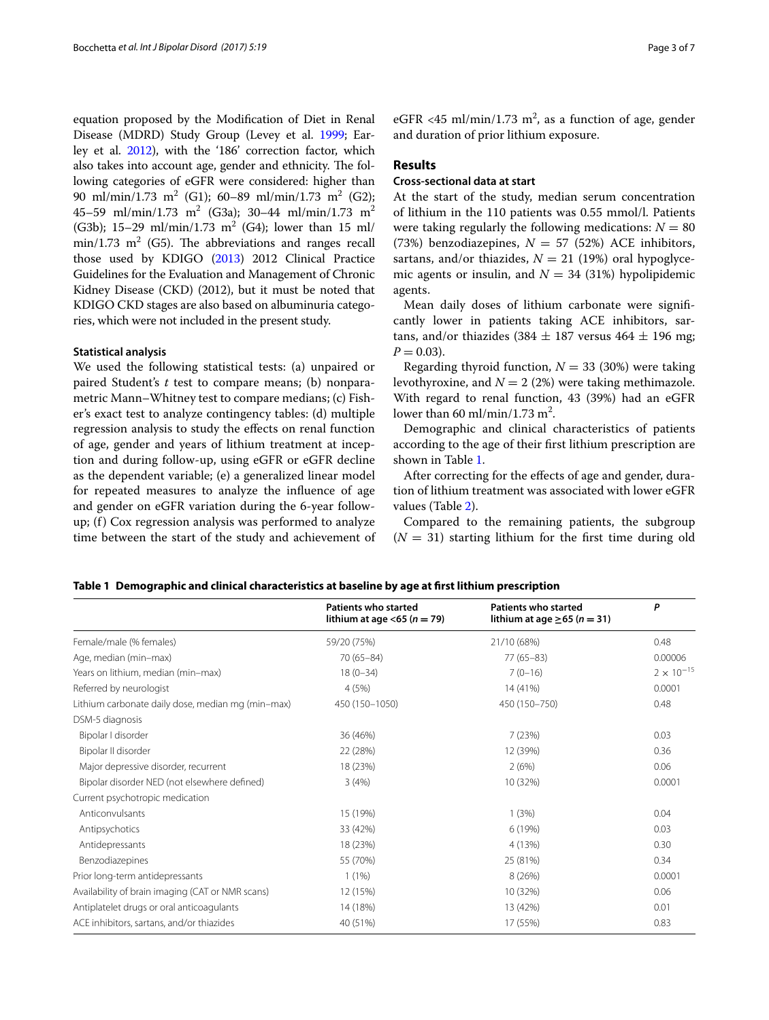equation proposed by the Modifcation of Diet in Renal Disease (MDRD) Study Group (Levey et al. [1999;](#page-6-15) Earley et al. [2012\)](#page-6-16), with the '186' correction factor, which also takes into account age, gender and ethnicity. The following categories of eGFR were considered: higher than 90 ml/min/1.73 m<sup>2</sup> (G1); 60–89 ml/min/1.73 m<sup>2</sup> (G2); 45–59 ml/min/1.73 m<sup>2</sup> (G3a); 30–44 ml/min/1.73 m<sup>2</sup> (G3b); 15–29 ml/min/1.73 m<sup>2</sup> (G4); lower than 15 ml/  $min/1.73$   $m^2$  (G5). The abbreviations and ranges recall those used by KDIGO ([2013](#page-6-17)) 2012 Clinical Practice Guidelines for the Evaluation and Management of Chronic Kidney Disease (CKD) (2012), but it must be noted that KDIGO CKD stages are also based on albuminuria categories, which were not included in the present study.

#### **Statistical analysis**

We used the following statistical tests: (a) unpaired or paired Student's *t* test to compare means; (b) nonparametric Mann–Whitney test to compare medians; (c) Fisher's exact test to analyze contingency tables: (d) multiple regression analysis to study the efects on renal function of age, gender and years of lithium treatment at inception and during follow-up, using eGFR or eGFR decline as the dependent variable; (e) a generalized linear model for repeated measures to analyze the infuence of age and gender on eGFR variation during the 6-year followup; (f) Cox regression analysis was performed to analyze time between the start of the study and achievement of

eGFR <45 ml/min/1.73 m<sup>2</sup>, as a function of age, gender and duration of prior lithium exposure.

#### **Results**

# **Cross‑sectional data at start**

At the start of the study, median serum concentration of lithium in the 110 patients was 0.55 mmol/l. Patients were taking regularly the following medications:  $N = 80$ (73%) benzodiazepines,  $N = 57$  (52%) ACE inhibitors, sartans, and/or thiazides,  $N = 21$  (19%) oral hypoglycemic agents or insulin, and  $N = 34$  (31%) hypolipidemic agents.

Mean daily doses of lithium carbonate were signifcantly lower in patients taking ACE inhibitors, sartans, and/or thiazides (384  $\pm$  187 versus 464  $\pm$  196 mg;  $P = 0.03$ ).

Regarding thyroid function,  $N = 33$  (30%) were taking levothyroxine, and  $N = 2$  (2%) were taking methimazole. With regard to renal function, 43 (39%) had an eGFR lower than 60 ml/min/1.73 m<sup>2</sup>.

Demographic and clinical characteristics of patients according to the age of their frst lithium prescription are shown in Table [1.](#page-2-0)

After correcting for the efects of age and gender, duration of lithium treatment was associated with lower eGFR values (Table [2](#page-3-0)).

Compared to the remaining patients, the subgroup  $(N = 31)$  starting lithium for the first time during old

<span id="page-2-0"></span>

| Table 1 Demographic and clinical characteristics at baseline by age at first lithium prescription |  |  |  |
|---------------------------------------------------------------------------------------------------|--|--|--|
|                                                                                                   |  |  |  |

|                                                   | <b>Patients who started</b><br>lithium at age $<$ 65 ( <i>n</i> = 79) | <b>Patients who started</b><br>lithium at age $\geq$ 65 (n = 31) | P                   |
|---------------------------------------------------|-----------------------------------------------------------------------|------------------------------------------------------------------|---------------------|
| Female/male (% females)                           | 59/20 (75%)                                                           | 21/10 (68%)                                                      | 0.48                |
| Age, median (min-max)                             | 70 (65-84)                                                            | $77(65 - 83)$                                                    | 0.00006             |
| Years on lithium, median (min-max)                | $18(0-34)$                                                            | $7(0-16)$                                                        | $2 \times 10^{-15}$ |
| Referred by neurologist                           | 4(5%)                                                                 | 14 (41%)                                                         | 0.0001              |
| Lithium carbonate daily dose, median mg (min-max) | 450 (150-1050)                                                        | 450 (150-750)                                                    | 0.48                |
| DSM-5 diagnosis                                   |                                                                       |                                                                  |                     |
| Bipolar I disorder                                | 36 (46%)                                                              | 7(23%)                                                           | 0.03                |
| Bipolar II disorder                               | 22 (28%)                                                              | 12 (39%)                                                         | 0.36                |
| Major depressive disorder, recurrent              | 18 (23%)                                                              | 2(6%)                                                            | 0.06                |
| Bipolar disorder NED (not elsewhere defined)      | 3(4%)                                                                 | 10 (32%)                                                         | 0.0001              |
| Current psychotropic medication                   |                                                                       |                                                                  |                     |
| Anticonvulsants                                   | 15 (19%)                                                              | 1(3%)                                                            | 0.04                |
| Antipsychotics                                    | 33 (42%)                                                              | 6(19%)                                                           | 0.03                |
| Antidepressants                                   | 18 (23%)                                                              | 4 (13%)                                                          | 0.30                |
| Benzodiazepines                                   | 55 (70%)                                                              | 25 (81%)                                                         | 0.34                |
| Prior long-term antidepressants                   | 1(1%)                                                                 | 8 (26%)                                                          | 0.0001              |
| Availability of brain imaging (CAT or NMR scans)  | 12 (15%)                                                              | 10 (32%)                                                         | 0.06                |
| Antiplatelet drugs or oral anticoagulants         | 14 (18%)                                                              | 13 (42%)                                                         | 0.01                |
| ACE inhibitors, sartans, and/or thiazides         | 40 (51%)                                                              | 17 (55%)                                                         | 0.83                |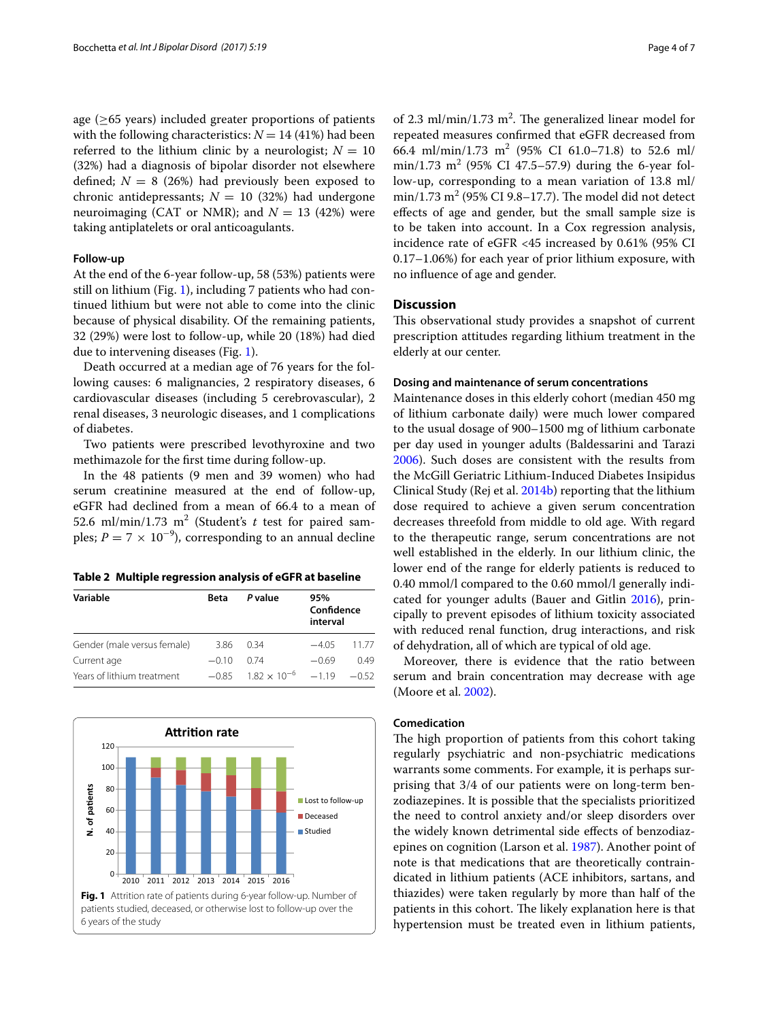age ( $\geq$ 65 years) included greater proportions of patients with the following characteristics:  $N = 14$  (41%) had been referred to the lithium clinic by a neurologist;  $N = 10$ (32%) had a diagnosis of bipolar disorder not elsewhere defined;  $N = 8$  (26%) had previously been exposed to chronic antidepressants;  $N = 10$  (32%) had undergone neuroimaging (CAT or NMR); and  $N = 13$  (42%) were taking antiplatelets or oral anticoagulants.

# **Follow‑up**

At the end of the 6-year follow-up, 58 (53%) patients were still on lithium (Fig. [1](#page-3-1)), including 7 patients who had continued lithium but were not able to come into the clinic because of physical disability. Of the remaining patients, 32 (29%) were lost to follow-up, while 20 (18%) had died due to intervening diseases (Fig. [1\)](#page-3-1).

Death occurred at a median age of 76 years for the following causes: 6 malignancies, 2 respiratory diseases, 6 cardiovascular diseases (including 5 cerebrovascular), 2 renal diseases, 3 neurologic diseases, and 1 complications of diabetes.

Two patients were prescribed levothyroxine and two methimazole for the frst time during follow-up.

In the 48 patients (9 men and 39 women) who had serum creatinine measured at the end of follow-up, eGFR had declined from a mean of 66.4 to a mean of 52.6 ml/min/1.73  $m^2$  (Student's *t* test for paired samples;  $P = 7 \times 10^{-9}$ ), corresponding to an annual decline

<span id="page-3-0"></span>**Table 2 Multiple regression analysis of eGFR at baseline**

| Variable                    | <b>Beta</b> | P value                     | 95%     | Confidence<br>interval |  |
|-----------------------------|-------------|-----------------------------|---------|------------------------|--|
| Gender (male versus female) | 3.86        | 0.34                        | $-4.05$ | 1177                   |  |
| Current age                 | $-0.10$     | O 74                        | $-0.69$ | 0.49                   |  |
| Years of lithium treatment  | $-0.85$     | $1.82 \times 10^{-6}$ -1.19 |         | $-0.52$                |  |

<span id="page-3-1"></span>

of 2.3 ml/min/1.73 m<sup>2</sup>. The generalized linear model for repeated measures confrmed that eGFR decreased from 66.4 ml/min/1.73 m<sup>2</sup> (95% CI 61.0–71.8) to 52.6 ml/  $min/1.73$   $m^2$  (95% CI 47.5–57.9) during the 6-year follow-up, corresponding to a mean variation of 13.8 ml/  $\min/1.73 \text{ m}^2 (95\% \text{ CI } 9.8-17.7)$ . The model did not detect efects of age and gender, but the small sample size is to be taken into account. In a Cox regression analysis, incidence rate of eGFR <45 increased by 0.61% (95% CI 0.17–1.06%) for each year of prior lithium exposure, with no infuence of age and gender.

## **Discussion**

This observational study provides a snapshot of current prescription attitudes regarding lithium treatment in the elderly at our center.

### **Dosing and maintenance of serum concentrations**

Maintenance doses in this elderly cohort (median 450 mg of lithium carbonate daily) were much lower compared to the usual dosage of 900–1500 mg of lithium carbonate per day used in younger adults (Baldessarini and Tarazi [2006](#page-6-18)). Such doses are consistent with the results from the McGill Geriatric Lithium-Induced Diabetes Insipidus Clinical Study (Rej et al. [2014b\)](#page-6-19) reporting that the lithium dose required to achieve a given serum concentration decreases threefold from middle to old age. With regard to the therapeutic range, serum concentrations are not well established in the elderly. In our lithium clinic, the lower end of the range for elderly patients is reduced to 0.40 mmol/l compared to the 0.60 mmol/l generally indicated for younger adults (Bauer and Gitlin [2016\)](#page-6-20), principally to prevent episodes of lithium toxicity associated with reduced renal function, drug interactions, and risk of dehydration, all of which are typical of old age.

Moreover, there is evidence that the ratio between serum and brain concentration may decrease with age (Moore et al. [2002](#page-6-21)).

# **Comedication**

The high proportion of patients from this cohort taking regularly psychiatric and non-psychiatric medications warrants some comments. For example, it is perhaps surprising that 3/4 of our patients were on long-term benzodiazepines. It is possible that the specialists prioritized the need to control anxiety and/or sleep disorders over the widely known detrimental side efects of benzodiazepines on cognition (Larson et al. [1987](#page-6-22)). Another point of note is that medications that are theoretically contraindicated in lithium patients (ACE inhibitors, sartans, and thiazides) were taken regularly by more than half of the patients in this cohort. The likely explanation here is that hypertension must be treated even in lithium patients,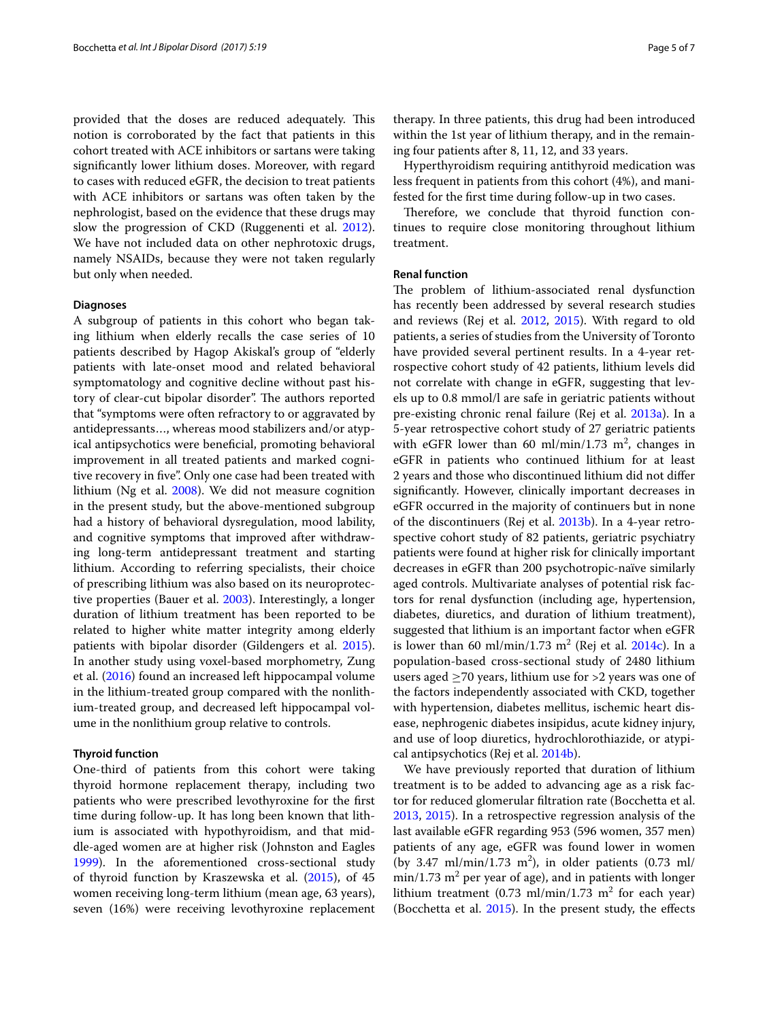provided that the doses are reduced adequately. This notion is corroborated by the fact that patients in this cohort treated with ACE inhibitors or sartans were taking signifcantly lower lithium doses. Moreover, with regard to cases with reduced eGFR, the decision to treat patients with ACE inhibitors or sartans was often taken by the nephrologist, based on the evidence that these drugs may slow the progression of CKD (Ruggenenti et al. [2012](#page-6-23)). We have not included data on other nephrotoxic drugs, namely NSAIDs, because they were not taken regularly but only when needed.

#### **Diagnoses**

A subgroup of patients in this cohort who began taking lithium when elderly recalls the case series of 10 patients described by Hagop Akiskal's group of "elderly patients with late-onset mood and related behavioral symptomatology and cognitive decline without past history of clear-cut bipolar disorder". The authors reported that "symptoms were often refractory to or aggravated by antidepressants…, whereas mood stabilizers and/or atypical antipsychotics were benefcial, promoting behavioral improvement in all treated patients and marked cognitive recovery in fve". Only one case had been treated with lithium (Ng et al. [2008\)](#page-6-24). We did not measure cognition in the present study, but the above-mentioned subgroup had a history of behavioral dysregulation, mood lability, and cognitive symptoms that improved after withdrawing long-term antidepressant treatment and starting lithium. According to referring specialists, their choice of prescribing lithium was also based on its neuroprotective properties (Bauer et al. [2003](#page-6-25)). Interestingly, a longer duration of lithium treatment has been reported to be related to higher white matter integrity among elderly patients with bipolar disorder (Gildengers et al. [2015](#page-6-11)). In another study using voxel-based morphometry, Zung et al. [\(2016\)](#page-6-12) found an increased left hippocampal volume in the lithium-treated group compared with the nonlithium-treated group, and decreased left hippocampal volume in the nonlithium group relative to controls.

### **Thyroid function**

One-third of patients from this cohort were taking thyroid hormone replacement therapy, including two patients who were prescribed levothyroxine for the frst time during follow-up. It has long been known that lithium is associated with hypothyroidism, and that middle-aged women are at higher risk (Johnston and Eagles [1999](#page-6-26)). In the aforementioned cross-sectional study of thyroid function by Kraszewska et al. ([2015](#page-6-7)), of 45 women receiving long-term lithium (mean age, 63 years), seven (16%) were receiving levothyroxine replacement therapy. In three patients, this drug had been introduced within the 1st year of lithium therapy, and in the remaining four patients after 8, 11, 12, and 33 years.

Hyperthyroidism requiring antithyroid medication was less frequent in patients from this cohort (4%), and manifested for the frst time during follow-up in two cases.

Therefore, we conclude that thyroid function continues to require close monitoring throughout lithium treatment.

#### **Renal function**

The problem of lithium-associated renal dysfunction has recently been addressed by several research studies and reviews (Rej et al. [2012](#page-6-27), [2015](#page-6-19)). With regard to old patients, a series of studies from the University of Toronto have provided several pertinent results. In a 4-year retrospective cohort study of 42 patients, lithium levels did not correlate with change in eGFR, suggesting that levels up to 0.8 mmol/l are safe in geriatric patients without pre-existing chronic renal failure (Rej et al. [2013a](#page-6-9)). In a 5-year retrospective cohort study of 27 geriatric patients with eGFR lower than 60 ml/min/1.73 m<sup>2</sup>, changes in eGFR in patients who continued lithium for at least 2 years and those who discontinued lithium did not difer signifcantly. However, clinically important decreases in eGFR occurred in the majority of continuers but in none of the discontinuers (Rej et al. [2013b\)](#page-6-13). In a 4-year retrospective cohort study of 82 patients, geriatric psychiatry patients were found at higher risk for clinically important decreases in eGFR than 200 psychotropic-naïve similarly aged controls. Multivariate analyses of potential risk factors for renal dysfunction (including age, hypertension, diabetes, diuretics, and duration of lithium treatment), suggested that lithium is an important factor when eGFR is lower than 60 ml/min/1.73 m<sup>2</sup> (Rej et al.  $2014c$ ). In a population-based cross-sectional study of 2480 lithium users aged  $\geq$ 70 years, lithium use for >2 years was one of the factors independently associated with CKD, together with hypertension, diabetes mellitus, ischemic heart disease, nephrogenic diabetes insipidus, acute kidney injury, and use of loop diuretics, hydrochlorothiazide, or atypical antipsychotics (Rej et al. [2014b](#page-6-29)).

We have previously reported that duration of lithium treatment is to be added to advancing age as a risk factor for reduced glomerular fltration rate (Bocchetta et al. [2013](#page-6-30), [2015](#page-6-31)). In a retrospective regression analysis of the last available eGFR regarding 953 (596 women, 357 men) patients of any age, eGFR was found lower in women (by 3.47 ml/min/1.73 m<sup>2</sup>), in older patients  $(0.73 \text{ ml})$  $min/1.73$  m<sup>2</sup> per year of age), and in patients with longer lithium treatment (0.73 ml/min/1.73 m<sup>2</sup> for each year) (Bocchetta et al.  $2015$ ). In the present study, the effects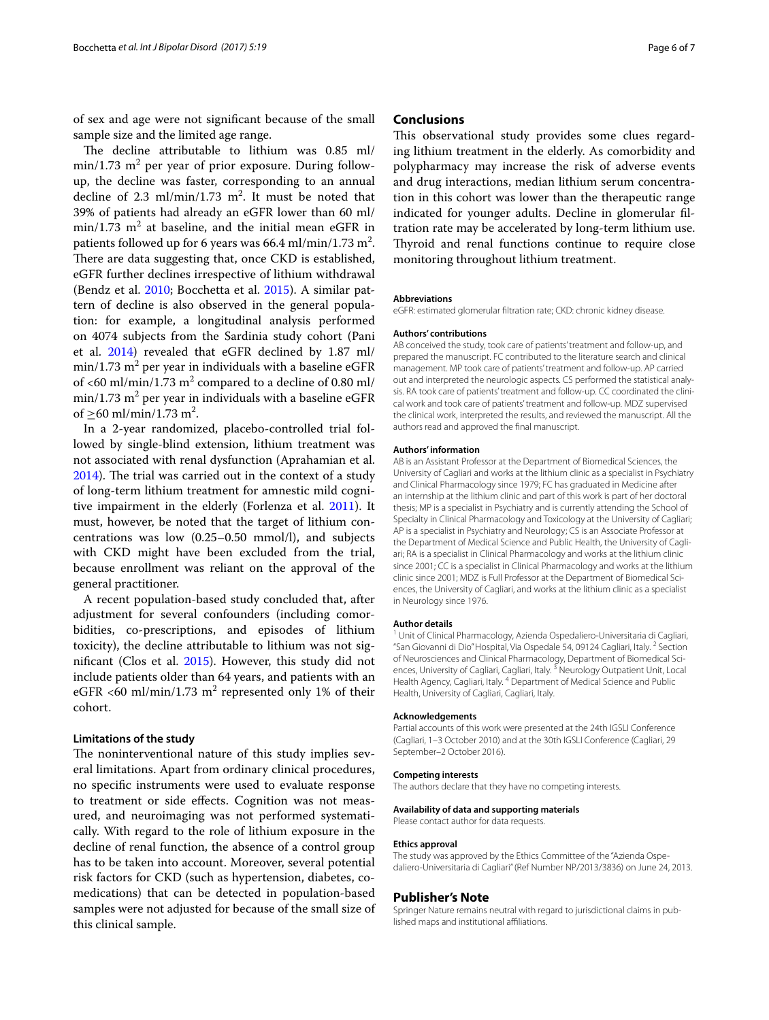of sex and age were not signifcant because of the small sample size and the limited age range.

The decline attributable to lithium was 0.85 ml/  $\min/1.73$   $\mathrm{m}^2$  per year of prior exposure. During followup, the decline was faster, corresponding to an annual decline of 2.3  $ml/min/1.73$   $m^2$ . It must be noted that 39% of patients had already an eGFR lower than 60 ml/  $min/1.73$   $m^2$  at baseline, and the initial mean eGFR in patients followed up for 6 years was 66.4 ml/min/1.73 m<sup>2</sup>. There are data suggesting that, once CKD is established, eGFR further declines irrespective of lithium withdrawal (Bendz et al. [2010;](#page-6-32) Bocchetta et al. [2015](#page-6-31)). A similar pattern of decline is also observed in the general population: for example, a longitudinal analysis performed on 4074 subjects from the Sardinia study cohort (Pani et al. [2014](#page-6-33)) revealed that eGFR declined by 1.87 ml/ min/1.73  $\mathrm{m}^{2}$  per year in individuals with a baseline eGFR of <60 ml/min/1.73  $m^2$  compared to a decline of 0.80 ml/ min/1.73  $\mathrm{m}^{2}$  per year in individuals with a baseline eGFR of ≥60 ml/min/1.73 m<sup>2</sup>.

In a 2-year randomized, placebo-controlled trial followed by single-blind extension, lithium treatment was not associated with renal dysfunction (Aprahamian et al. [2014](#page-6-34)). The trial was carried out in the context of a study of long-term lithium treatment for amnestic mild cognitive impairment in the elderly (Forlenza et al. [2011\)](#page-6-35). It must, however, be noted that the target of lithium concentrations was low (0.25–0.50 mmol/l), and subjects with CKD might have been excluded from the trial, because enrollment was reliant on the approval of the general practitioner.

A recent population-based study concluded that, after adjustment for several confounders (including comorbidities, co-prescriptions, and episodes of lithium toxicity), the decline attributable to lithium was not signifcant (Clos et al. [2015](#page-6-36)). However, this study did not include patients older than 64 years, and patients with an eGFR <60 ml/min/1.73  $m^2$  represented only 1% of their cohort.

### **Limitations of the study**

The noninterventional nature of this study implies several limitations. Apart from ordinary clinical procedures, no specifc instruments were used to evaluate response to treatment or side efects. Cognition was not measured, and neuroimaging was not performed systematically. With regard to the role of lithium exposure in the decline of renal function, the absence of a control group has to be taken into account. Moreover, several potential risk factors for CKD (such as hypertension, diabetes, comedications) that can be detected in population-based samples were not adjusted for because of the small size of this clinical sample.

#### **Conclusions**

This observational study provides some clues regarding lithium treatment in the elderly. As comorbidity and polypharmacy may increase the risk of adverse events and drug interactions, median lithium serum concentration in this cohort was lower than the therapeutic range indicated for younger adults. Decline in glomerular fltration rate may be accelerated by long-term lithium use. Thyroid and renal functions continue to require close monitoring throughout lithium treatment.

#### **Abbreviations**

eGFR: estimated glomerular fltration rate; CKD: chronic kidney disease.

#### **Authors' contributions**

AB conceived the study, took care of patients' treatment and follow-up, and prepared the manuscript. FC contributed to the literature search and clinical management. MP took care of patients' treatment and follow-up. AP carried out and interpreted the neurologic aspects. CS performed the statistical analysis. RA took care of patients' treatment and follow-up. CC coordinated the clinical work and took care of patients' treatment and follow-up. MDZ supervised the clinical work, interpreted the results, and reviewed the manuscript. All the authors read and approved the fnal manuscript.

#### **Authors' information**

AB is an Assistant Professor at the Department of Biomedical Sciences, the University of Cagliari and works at the lithium clinic as a specialist in Psychiatry and Clinical Pharmacology since 1979; FC has graduated in Medicine after an internship at the lithium clinic and part of this work is part of her doctoral thesis; MP is a specialist in Psychiatry and is currently attending the School of Specialty in Clinical Pharmacology and Toxicology at the University of Cagliari; AP is a specialist in Psychiatry and Neurology; CS is an Associate Professor at the Department of Medical Science and Public Health, the University of Cagliari; RA is a specialist in Clinical Pharmacology and works at the lithium clinic since 2001; CC is a specialist in Clinical Pharmacology and works at the lithium clinic since 2001; MDZ is Full Professor at the Department of Biomedical Sciences, the University of Cagliari, and works at the lithium clinic as a specialist in Neurology since 1976.

#### **Author details**

<sup>1</sup> Unit of Clinical Pharmacology, Azienda Ospedaliero-Universitaria di Cagliari, "San Giovanni di Dio" Hospital, Via Ospedale 54, 09124 Cagliari, Italy. <sup>2</sup> Section of Neurosciences and Clinical Pharmacology, Department of Biomedical Sciences, University of Cagliari, Cagliari, Italy.<sup>3</sup> Neurology Outpatient Unit, Local Health Agency, Cagliari, Italy. 4 Department of Medical Science and Public Health, University of Cagliari, Cagliari, Italy.

#### **Acknowledgements**

Partial accounts of this work were presented at the 24th IGSLI Conference (Cagliari, 1–3 October 2010) and at the 30th IGSLI Conference (Cagliari, 29 September–2 October 2016).

#### **Competing interests**

The authors declare that they have no competing interests.

#### **Availability of data and supporting materials**

Please contact author for data requests.

#### **Ethics approval**

The study was approved by the Ethics Committee of the "Azienda Ospedaliero-Universitaria di Cagliari" (Ref Number NP/2013/3836) on June 24, 2013.

#### **Publisher's Note**

Springer Nature remains neutral with regard to jurisdictional claims in published maps and institutional affiliations.